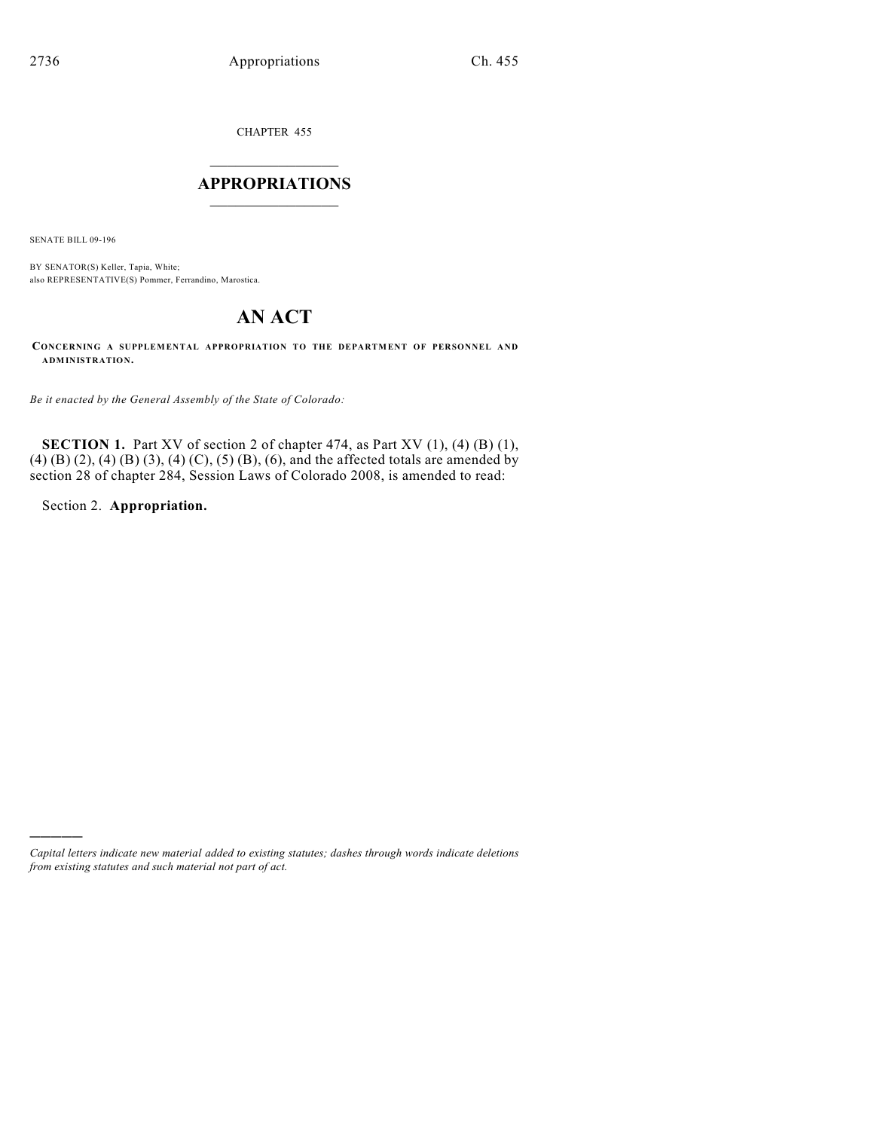CHAPTER 455

# $\mathcal{L}_\text{max}$  . The set of the set of the set of the set of the set of the set of the set of the set of the set of the set of the set of the set of the set of the set of the set of the set of the set of the set of the set **APPROPRIATIONS**  $\_$   $\_$   $\_$   $\_$   $\_$   $\_$   $\_$   $\_$

SENATE BILL 09-196

BY SENATOR(S) Keller, Tapia, White; also REPRESENTATIVE(S) Pommer, Ferrandino, Marostica.

# **AN ACT**

**CONCERNING A SUPPLEMENTAL APPROPRIATION TO THE DEPARTMENT OF PERSONNEL AND ADMINISTRATION.**

*Be it enacted by the General Assembly of the State of Colorado:*

**SECTION 1.** Part XV of section 2 of chapter 474, as Part XV (1), (4) (B) (1), (4) (B) (2), (4) (B) (3), (4) (C), (5) (B), (6), and the affected totals are amended by section 28 of chapter 284, Session Laws of Colorado 2008, is amended to read:

Section 2. **Appropriation.**

)))))

*Capital letters indicate new material added to existing statutes; dashes through words indicate deletions from existing statutes and such material not part of act.*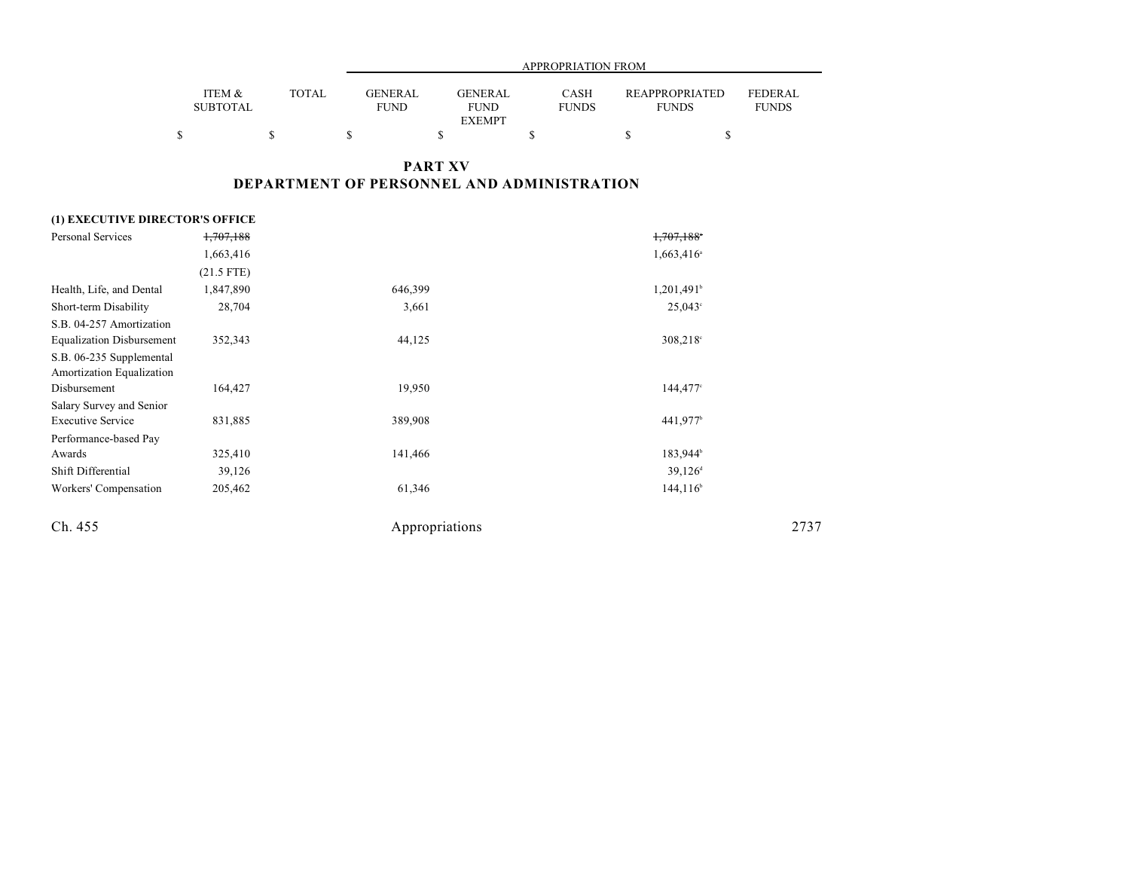|                           |              |                        | APPROPRIATION FROM                      |                      |                                       |                         |  |
|---------------------------|--------------|------------------------|-----------------------------------------|----------------------|---------------------------------------|-------------------------|--|
| ITEM &<br><b>SUBTOTAL</b> | <b>TOTAL</b> | GENERAL<br><b>FUND</b> | GENERAL<br><b>FUND</b><br><b>EXEMPT</b> | CASH<br><b>FUNDS</b> | <b>REAPPROPRIATED</b><br><b>FUNDS</b> | FEDERAL<br><b>FUNDS</b> |  |
|                           |              |                        |                                         |                      |                                       |                         |  |

### **PART XV DEPARTMENT OF PERSONNEL AND ADMINISTRATION**

### **(1) EXECUTIVE DIRECTOR'S OFFICE**

| <b>Personal Services</b>                              | 1,707,188    |                | 1,707,188                |      |
|-------------------------------------------------------|--------------|----------------|--------------------------|------|
|                                                       | 1,663,416    |                | $1,663,416$ <sup>a</sup> |      |
|                                                       | $(21.5$ FTE) |                |                          |      |
| Health, Life, and Dental                              | 1,847,890    | 646,399        | 1,201,491 <sup>b</sup>   |      |
| Short-term Disability                                 | 28,704       | 3,661          | $25,043^{\circ}$         |      |
| S.B. 04-257 Amortization                              |              |                |                          |      |
| <b>Equalization Disbursement</b>                      | 352,343      | 44,125         | 308,218°                 |      |
| S.B. 06-235 Supplemental<br>Amortization Equalization |              |                |                          |      |
| Disbursement                                          | 164,427      | 19,950         | 144,477°                 |      |
| Salary Survey and Senior                              |              |                |                          |      |
| <b>Executive Service</b>                              | 831,885      | 389,908        | 441,977 <sup>b</sup>     |      |
| Performance-based Pay                                 |              |                |                          |      |
| Awards                                                | 325,410      | 141,466        | 183,944 <sup>b</sup>     |      |
| Shift Differential                                    | 39,126       |                | $39,126$ <sup>d</sup>    |      |
| Workers' Compensation                                 | 205,462      | 61,346         | $144,116^b$              |      |
| Ch. 455                                               |              | Appropriations |                          | 2737 |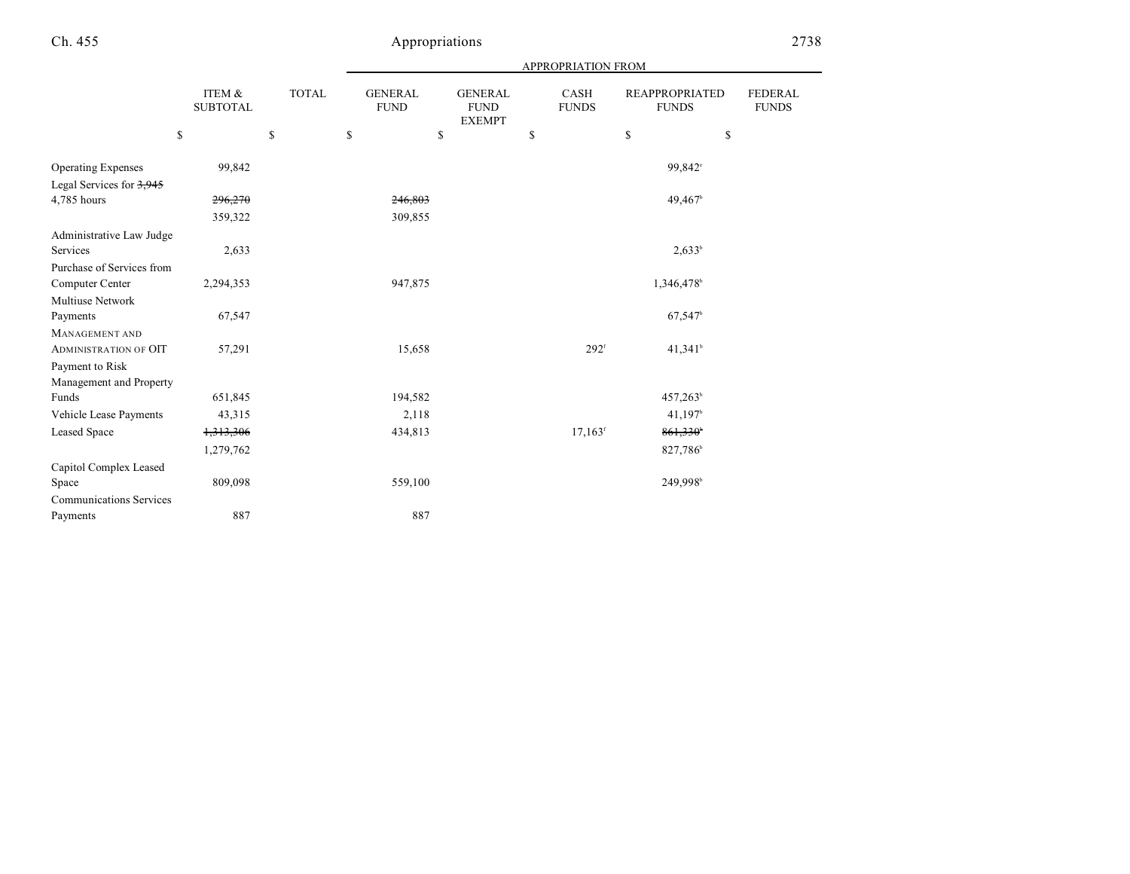|                                | ITEM &<br><b>SUBTOTAL</b> | <b>TOTAL</b> | <b>GENERAL</b><br><b>FUND</b> | <b>GENERAL</b><br><b>FUND</b><br><b>EXEMPT</b> | <b>CASH</b><br><b>FUNDS</b> | <b>REAPPROPRIATED</b><br><b>FUNDS</b> | <b>FEDERAL</b><br><b>FUNDS</b> |
|--------------------------------|---------------------------|--------------|-------------------------------|------------------------------------------------|-----------------------------|---------------------------------------|--------------------------------|
| \$                             |                           | \$           | \$                            | \$                                             | \$                          | \$<br>\$                              |                                |
| <b>Operating Expenses</b>      | 99,842                    |              |                               |                                                |                             | 99.842 <sup>c</sup>                   |                                |
| Legal Services for $3,945$     |                           |              |                               |                                                |                             |                                       |                                |
| 4,785 hours                    | 296,270                   |              | 246,803                       |                                                |                             | 49,467 <sup>b</sup>                   |                                |
|                                | 359,322                   |              | 309,855                       |                                                |                             |                                       |                                |
| Administrative Law Judge       |                           |              |                               |                                                |                             |                                       |                                |
| Services                       | 2,633                     |              |                               |                                                |                             | $2,633^b$                             |                                |
| Purchase of Services from      |                           |              |                               |                                                |                             |                                       |                                |
| Computer Center                | 2,294,353                 |              | 947,875                       |                                                |                             | 1,346,478 <sup>b</sup>                |                                |
| Multiuse Network               |                           |              |                               |                                                |                             |                                       |                                |
| Payments                       | 67,547                    |              |                               |                                                |                             | 67,547                                |                                |
| MANAGEMENT AND                 |                           |              |                               |                                                |                             |                                       |                                |
| <b>ADMINISTRATION OF OIT</b>   | 57,291                    |              | 15,658                        |                                                | $292$ <sup>f</sup>          | 41.341 <sup>b</sup>                   |                                |
| Payment to Risk                |                           |              |                               |                                                |                             |                                       |                                |
| Management and Property        |                           |              |                               |                                                |                             |                                       |                                |
| Funds                          | 651,845                   |              | 194,582                       |                                                |                             | 457,263 <sup>b</sup>                  |                                |
| Vehicle Lease Payments         | 43,315                    |              | 2,118                         |                                                |                             | 41,197 <sup>b</sup>                   |                                |
| Leased Space                   | 1,313,306                 |              | 434,813                       |                                                | $17,163$ <sup>f</sup>       | 861,330                               |                                |
|                                | 1,279,762                 |              |                               |                                                |                             | 827,786 <sup>b</sup>                  |                                |
| Capitol Complex Leased         |                           |              |                               |                                                |                             |                                       |                                |
| Space                          | 809,098                   |              | 559,100                       |                                                |                             | 249,998 <sup>b</sup>                  |                                |
| <b>Communications Services</b> |                           |              |                               |                                                |                             |                                       |                                |
| Payments                       | 887                       |              | 887                           |                                                |                             |                                       |                                |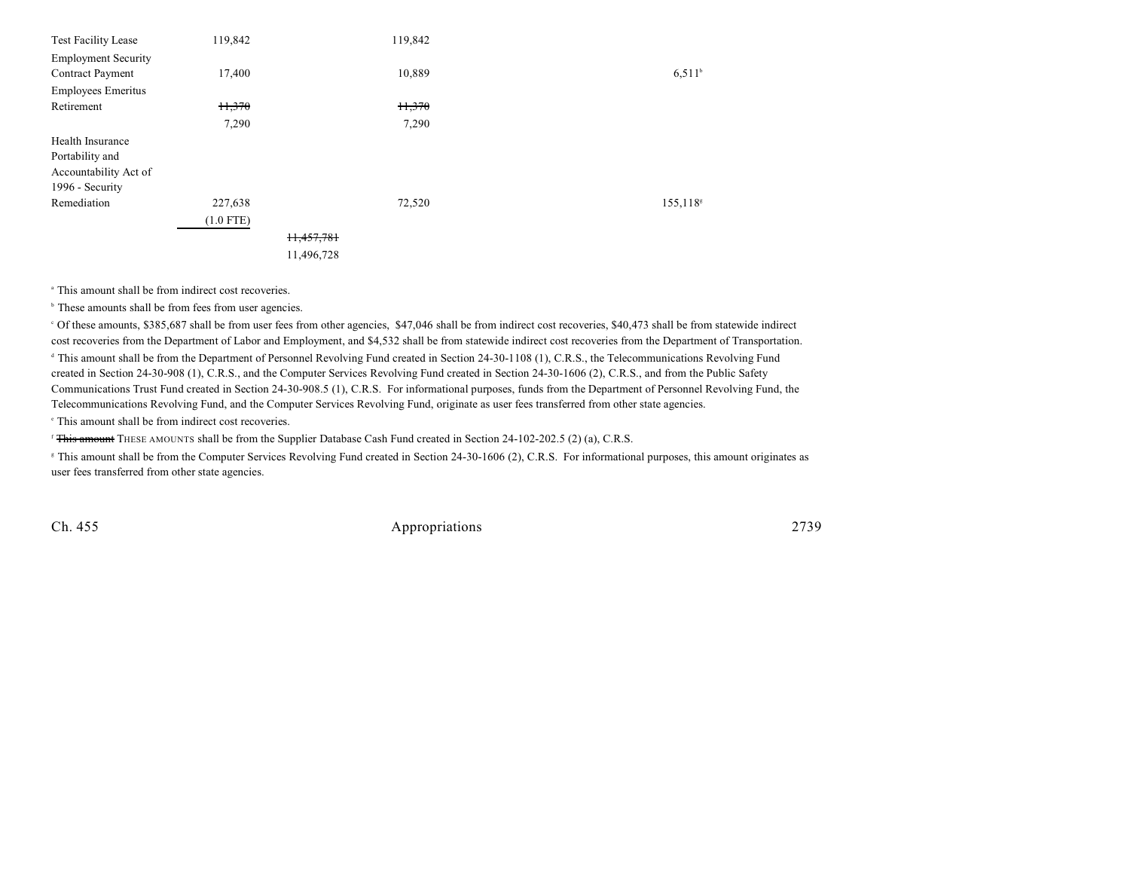| <b>Test Facility Lease</b> | 119,842     |            | 119,842 |                      |
|----------------------------|-------------|------------|---------|----------------------|
| <b>Employment Security</b> |             |            |         |                      |
| Contract Payment           | 17,400      |            | 10,889  | $6,511$ <sup>b</sup> |
| <b>Employees Emeritus</b>  |             |            |         |                      |
| Retirement                 | 11,370      |            | 11,370  |                      |
|                            | 7,290       |            | 7,290   |                      |
| Health Insurance           |             |            |         |                      |
| Portability and            |             |            |         |                      |
| Accountability Act of      |             |            |         |                      |
| 1996 - Security            |             |            |         |                      |
| Remediation                | 227,638     |            | 72,520  | 155,118 <sup>s</sup> |
|                            | $(1.0$ FTE) |            |         |                      |
|                            |             | 11,457,781 |         |                      |
|                            |             | 11,496,728 |         |                      |

<sup>a</sup> This amount shall be from indirect cost recoveries.

<sup>b</sup> These amounts shall be from fees from user agencies.

 Of these amounts, \$385,687 shall be from user fees from other agencies, \$47,046 shall be from indirect cost recoveries, \$40,473 shall be from statewide indirect <sup>c</sup> cost recoveries from the Department of Labor and Employment, and \$4,532 shall be from statewide indirect cost recoveries from the Department of Transportation. <sup>d</sup> This amount shall be from the Department of Personnel Revolving Fund created in Section 24-30-1108 (1), C.R.S., the Telecommunications Revolving Fund created in Section 24-30-908 (1), C.R.S., and the Computer Services Revolving Fund created in Section 24-30-1606 (2), C.R.S., and from the Public Safety Communications Trust Fund created in Section 24-30-908.5 (1), C.R.S. For informational purposes, funds from the Department of Personnel Revolving Fund, the Telecommunications Revolving Fund, and the Computer Services Revolving Fund, originate as user fees transferred from other state agencies.

 $\cdot$  This amount shall be from indirect cost recoveries.

<sup>f</sup> This amount THESE AMOUNTS shall be from the Supplier Database Cash Fund created in Section 24-102-202.5 (2) (a), C.R.S.

<sup>8</sup> This amount shall be from the Computer Services Revolving Fund created in Section 24-30-1606 (2), C.R.S. For informational purposes, this amount originates as user fees transferred from other state agencies.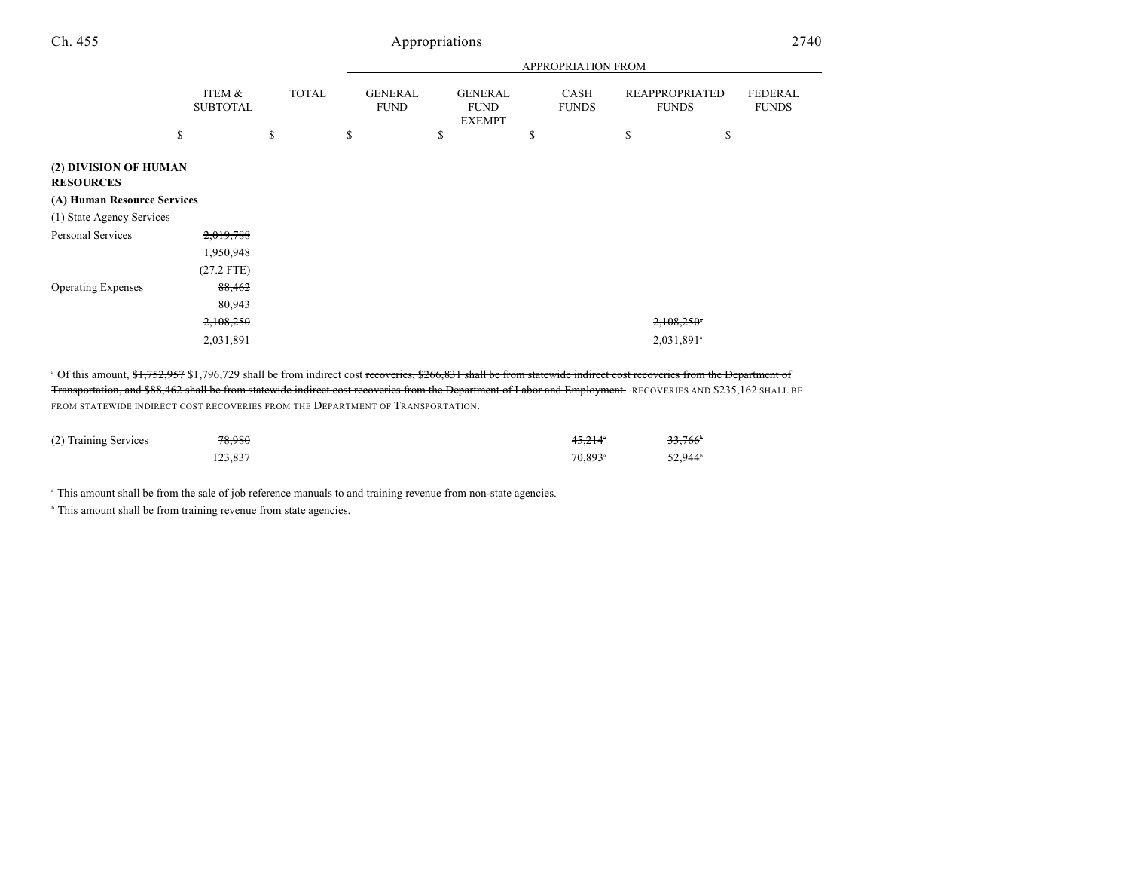|                                           |                           |              | APPROPRIATION FROM            |                                                |                             |                                |                                |  |  |
|-------------------------------------------|---------------------------|--------------|-------------------------------|------------------------------------------------|-----------------------------|--------------------------------|--------------------------------|--|--|
|                                           | ITEM &<br><b>SUBTOTAL</b> | <b>TOTAL</b> | <b>GENERAL</b><br><b>FUND</b> | <b>GENERAL</b><br><b>FUND</b><br><b>EXEMPT</b> | <b>CASH</b><br><b>FUNDS</b> | REAPPROPRIATED<br><b>FUNDS</b> | <b>FEDERAL</b><br><b>FUNDS</b> |  |  |
|                                           | \$                        | \$           | \$                            | \$                                             | \$                          | \$<br>\$                       |                                |  |  |
| (2) DIVISION OF HUMAN<br><b>RESOURCES</b> |                           |              |                               |                                                |                             |                                |                                |  |  |
| (A) Human Resource Services               |                           |              |                               |                                                |                             |                                |                                |  |  |
| (1) State Agency Services                 |                           |              |                               |                                                |                             |                                |                                |  |  |
| Personal Services                         | 2,019,788                 |              |                               |                                                |                             |                                |                                |  |  |
|                                           | 1,950,948                 |              |                               |                                                |                             |                                |                                |  |  |
|                                           | $(27.2$ FTE)              |              |                               |                                                |                             |                                |                                |  |  |
| <b>Operating Expenses</b>                 | 88,462                    |              |                               |                                                |                             |                                |                                |  |  |
|                                           | 80,943                    |              |                               |                                                |                             |                                |                                |  |  |
|                                           | 2,108,250                 |              |                               |                                                |                             | 2,108,250                      |                                |  |  |
|                                           | 2,031,891                 |              |                               |                                                |                             | 2,031,891 <sup>a</sup>         |                                |  |  |

<sup>o</sup> Of this amount, \$1,752,957 \$1,796,729 shall be from indirect cost recoveries, \$266,831 shall be from statewide indirect cost recoveries from the Department of Transportation, and \$88,462 shall be from statewide indirect cost recoveries from the Department of Labor and Employment. RECOVERIES AND \$235,162 SHALL BE FROM STATEWIDE INDIRECT COST RECOVERIES FROM THE DEPARTMENT OF TRANSPORTATION.

| (2) Training Services | 78,980  | 45.214°             | 33,766              |
|-----------------------|---------|---------------------|---------------------|
|                       | 123,837 | 70.893 <sup>a</sup> | 52.944 <sup>b</sup> |

<sup>a</sup> This amount shall be from the sale of job reference manuals to and training revenue from non-state agencies.

<sup>b</sup> This amount shall be from training revenue from state agencies.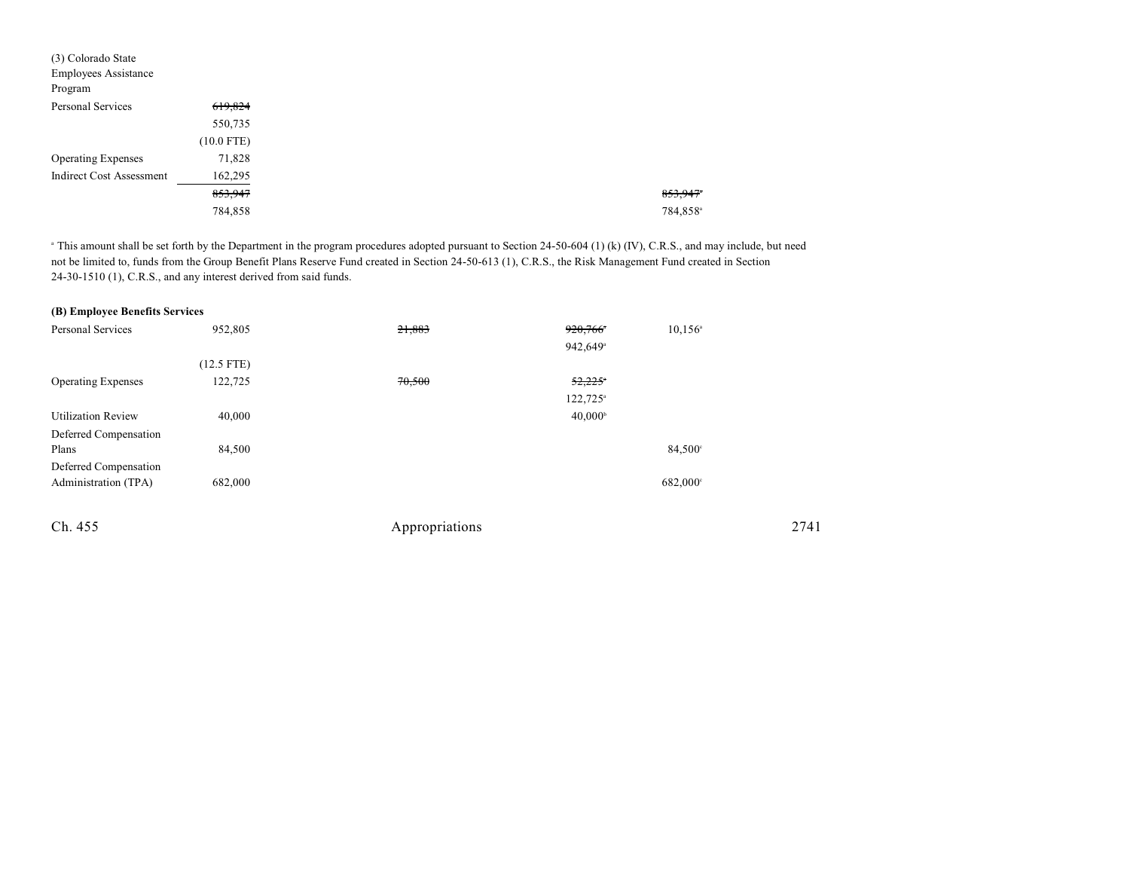| (3) Colorado State              |              |  |
|---------------------------------|--------------|--|
| <b>Employees Assistance</b>     |              |  |
| Program                         |              |  |
| Personal Services               | 619,824      |  |
|                                 | 550,735      |  |
|                                 | $(10.0$ FTE) |  |
| <b>Operating Expenses</b>       | 71,828       |  |
| <b>Indirect Cost Assessment</b> | 162,295      |  |
|                                 | 853,947      |  |
|                                 | 784,858      |  |

<sup>a</sup> This amount shall be set forth by the Department in the program procedures adopted pursuant to Section 24-50-604 (1) (k) (IV), C.R.S., and may include, but need not be limited to, funds from the Group Benefit Plans Reserve Fund created in Section 24-50-613 (1), C.R.S., the Risk Management Fund created in Section 24-30-1510 (1), C.R.S., and any interest derived from said funds.

| (B) Employee Benefits Services |              |        |                        |                  |
|--------------------------------|--------------|--------|------------------------|------------------|
| <b>Personal Services</b>       | 952,805      | 21,883 | 920,766*               | $10,156^{\circ}$ |
|                                |              |        | 942,649 <sup>a</sup>   |                  |
|                                | $(12.5$ FTE) |        |                        |                  |
| <b>Operating Expenses</b>      | 122,725      | 70,500 | 52,225                 |                  |
|                                |              |        | $122,725$ <sup>a</sup> |                  |
| <b>Utilization Review</b>      | 40,000       |        | $40,000^{\circ}$       |                  |
| Deferred Compensation          |              |        |                        |                  |
| Plans                          | 84,500       |        |                        | 84,500°          |
| Deferred Compensation          |              |        |                        |                  |
| Administration (TPA)           | 682,000      |        |                        | 682,000°         |
|                                |              |        |                        |                  |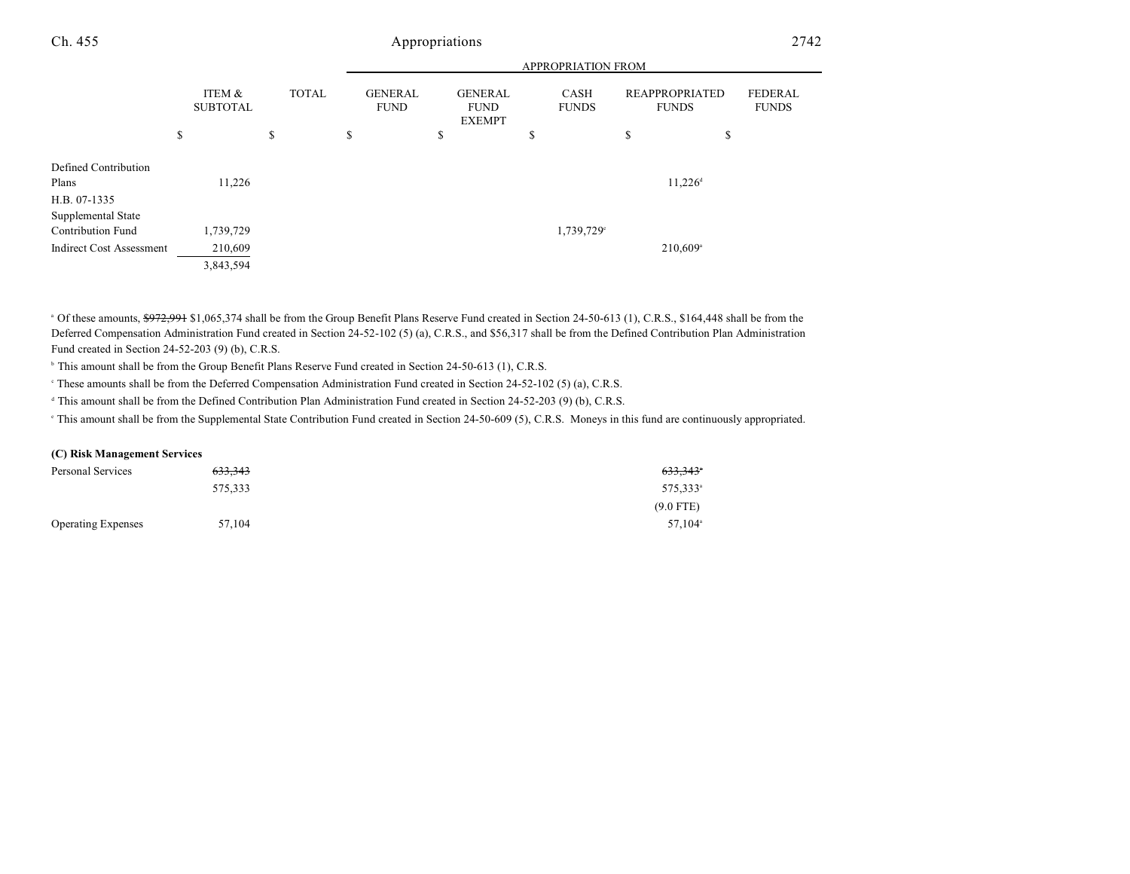|                                 |                           |              | APPROPRIATION FROM            |   |                                                |    |                        |                                       |                                |
|---------------------------------|---------------------------|--------------|-------------------------------|---|------------------------------------------------|----|------------------------|---------------------------------------|--------------------------------|
|                                 | ITEM &<br><b>SUBTOTAL</b> | <b>TOTAL</b> | <b>GENERAL</b><br><b>FUND</b> |   | <b>GENERAL</b><br><b>FUND</b><br><b>EXEMPT</b> |    | CASH<br><b>FUNDS</b>   | <b>REAPPROPRIATED</b><br><b>FUNDS</b> | <b>FEDERAL</b><br><b>FUNDS</b> |
|                                 | \$                        | \$           | \$                            | S |                                                | \$ |                        | \$<br>\$                              |                                |
| Defined Contribution            |                           |              |                               |   |                                                |    |                        |                                       |                                |
| Plans                           | 11,226                    |              |                               |   |                                                |    |                        | $11,226^{\rm d}$                      |                                |
| H.B. 07-1335                    |                           |              |                               |   |                                                |    |                        |                                       |                                |
| Supplemental State              |                           |              |                               |   |                                                |    |                        |                                       |                                |
| <b>Contribution Fund</b>        | 1,739,729                 |              |                               |   |                                                |    | 1,739,729 <sup>e</sup> |                                       |                                |
| <b>Indirect Cost Assessment</b> | 210,609                   |              |                               |   |                                                |    |                        | $210,609$ <sup>a</sup>                |                                |
|                                 | 3,843,594                 |              |                               |   |                                                |    |                        |                                       |                                |

<sup>a</sup> Of these amounts, \$972,991 \$1,065,374 shall be from the Group Benefit Plans Reserve Fund created in Section 24-50-613 (1), C.R.S., \$164,448 shall be from the Deferred Compensation Administration Fund created in Section 24-52-102 (5) (a), C.R.S., and \$56,317 shall be from the Defined Contribution Plan Administration Fund created in Section 24-52-203 (9) (b), C.R.S.

<sup>h</sup> This amount shall be from the Group Benefit Plans Reserve Fund created in Section 24-50-613 (1), C.R.S.

<sup>e</sup> These amounts shall be from the Deferred Compensation Administration Fund created in Section 24-52-102 (5) (a), C.R.S.

 $\text{This amount shall be from the Defined Contribution Plan Administration Fund created in Section 24-52-203 (9) (b), C.R.S.}$ 

<sup>e</sup> This amount shall be from the Supplemental State Contribution Fund created in Section 24-50-609 (5), C.R.S. Moneys in this fund are continuously appropriated.

| (C) Risk Management Services |         |                      |
|------------------------------|---------|----------------------|
| Personal Services            | 633.343 | <del>633,343</del> * |
|                              | 575.333 | 575,333 <sup>a</sup> |
|                              |         | $(9.0$ FTE)          |
| <b>Operating Expenses</b>    | 57,104  | 57.104 <sup>a</sup>  |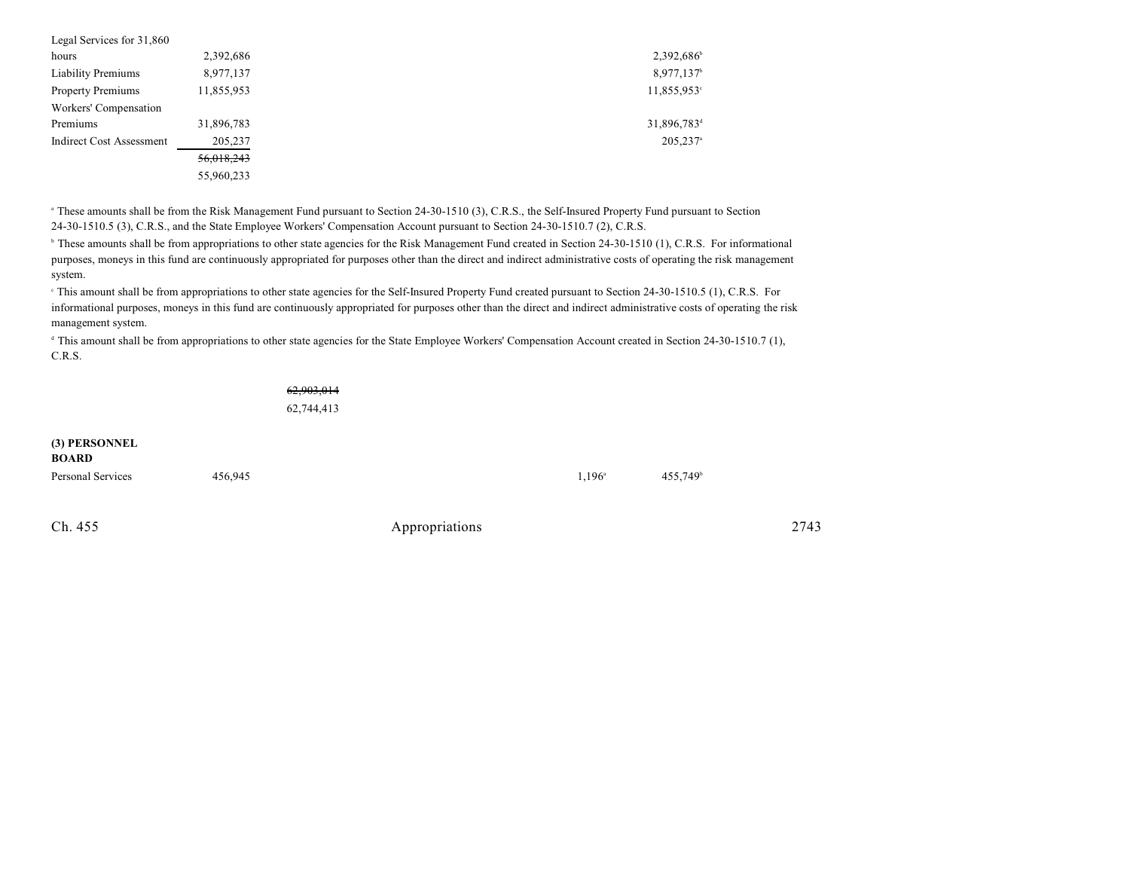| Legal Services for 31,860       |            |                         |
|---------------------------------|------------|-------------------------|
| hours                           | 2,392,686  | 2,392,686               |
| <b>Liability Premiums</b>       | 8,977,137  | 8,977,137               |
| <b>Property Premiums</b>        | 11,855,953 | 11,855,953 <sup>c</sup> |
| Workers' Compensation           |            |                         |
| Premiums                        | 31,896,783 | 31,896,783 <sup>d</sup> |
| <b>Indirect Cost Assessment</b> | 205,237    | 205,237 <sup>a</sup>    |
|                                 | 56,018,243 |                         |
|                                 | 55,960,233 |                         |

<sup>a</sup> These amounts shall be from the Risk Management Fund pursuant to Section 24-30-1510 (3), C.R.S., the Self-Insured Property Fund pursuant to Section 24-30-1510.5 (3), C.R.S., and the State Employee Workers' Compensation Account pursuant to Section 24-30-1510.7 (2), C.R.S.

<sup>b</sup> These amounts shall be from appropriations to other state agencies for the Risk Management Fund created in Section 24-30-1510 (1), C.R.S. For informational purposes, moneys in this fund are continuously appropriated for purposes other than the direct and indirect administrative costs of operating the risk management system.

<sup>e</sup> This amount shall be from appropriations to other state agencies for the Self-Insured Property Fund created pursuant to Section 24-30-1510.5 (1), C.R.S. For informational purposes, moneys in this fund are continuously appropriated for purposes other than the direct and indirect administrative costs of operating the risk management system.

<sup>d</sup> This amount shall be from appropriations to other state agencies for the State Employee Workers' Compensation Account created in Section 24-30-1510.7 (1), C.R.S.

> 62,903,014 62,744,413

| (3) PERSONNEL<br><b>BOARD</b> |         |                |                 |                      |      |
|-------------------------------|---------|----------------|-----------------|----------------------|------|
| Personal Services             | 456,945 |                | $1,196^{\circ}$ | 455,749 <sup>b</sup> |      |
| Ch. 455                       |         | Appropriations |                 |                      | 2743 |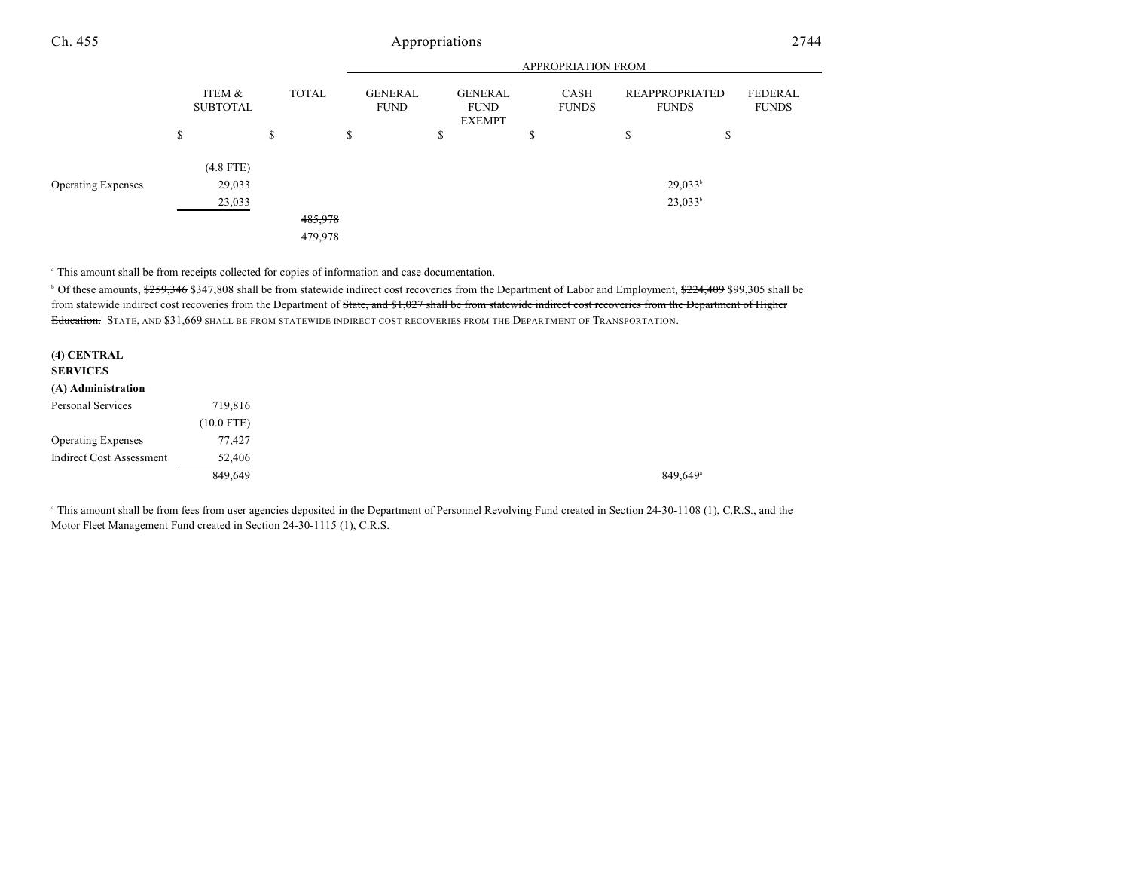|                           |                           |              |                               |                                                | <b>APPROPRIATION FROM</b> |                                |                                |
|---------------------------|---------------------------|--------------|-------------------------------|------------------------------------------------|---------------------------|--------------------------------|--------------------------------|
|                           | ITEM &<br><b>SUBTOTAL</b> | <b>TOTAL</b> | <b>GENERAL</b><br><b>FUND</b> | <b>GENERAL</b><br><b>FUND</b><br><b>EXEMPT</b> | CASH<br><b>FUNDS</b>      | REAPPROPRIATED<br><b>FUNDS</b> | <b>FEDERAL</b><br><b>FUNDS</b> |
|                           | <sup>\$</sup>             | \$           | S                             | \$                                             | \$                        | \$<br>\$                       |                                |
|                           | $(4.8$ FTE)               |              |                               |                                                |                           |                                |                                |
| <b>Operating Expenses</b> | 29,033                    |              |                               |                                                |                           | $29,033$ <sup>*</sup>          |                                |
|                           | 23,033                    |              |                               |                                                |                           | $23,033^b$                     |                                |
|                           |                           | 485,978      |                               |                                                |                           |                                |                                |
|                           |                           | 479,978      |                               |                                                |                           |                                |                                |

<sup>a</sup> This amount shall be from receipts collected for copies of information and case documentation.

<sup>b</sup> Of these amounts, \$259,346 \$347,808 shall be from statewide indirect cost recoveries from the Department of Labor and Employment, \$224,409 \$99,305 shall be from statewide indirect cost recoveries from the Department of State, and \$1,027 shall be from statewide indirect cost recoveries from the Department of Higher Education. STATE, AND \$31,669 SHALL BE FROM STATEWIDE INDIRECT COST RECOVERIES FROM THE DEPARTMENT OF TRANSPORTATION.

| (4) CENTRAL<br><b>SERVICES</b>  |              |
|---------------------------------|--------------|
| (A) Administration              |              |
| Personal Services               | 719,816      |
|                                 | $(10.0$ FTE) |
| <b>Operating Expenses</b>       | 77,427       |
| <b>Indirect Cost Assessment</b> | 52,406       |
|                                 | 849,649      |

<sup>a</sup> This amount shall be from fees from user agencies deposited in the Department of Personnel Revolving Fund created in Section 24-30-1108 (1), C.R.S., and the Motor Fleet Management Fund created in Section 24-30-1115 (1), C.R.S.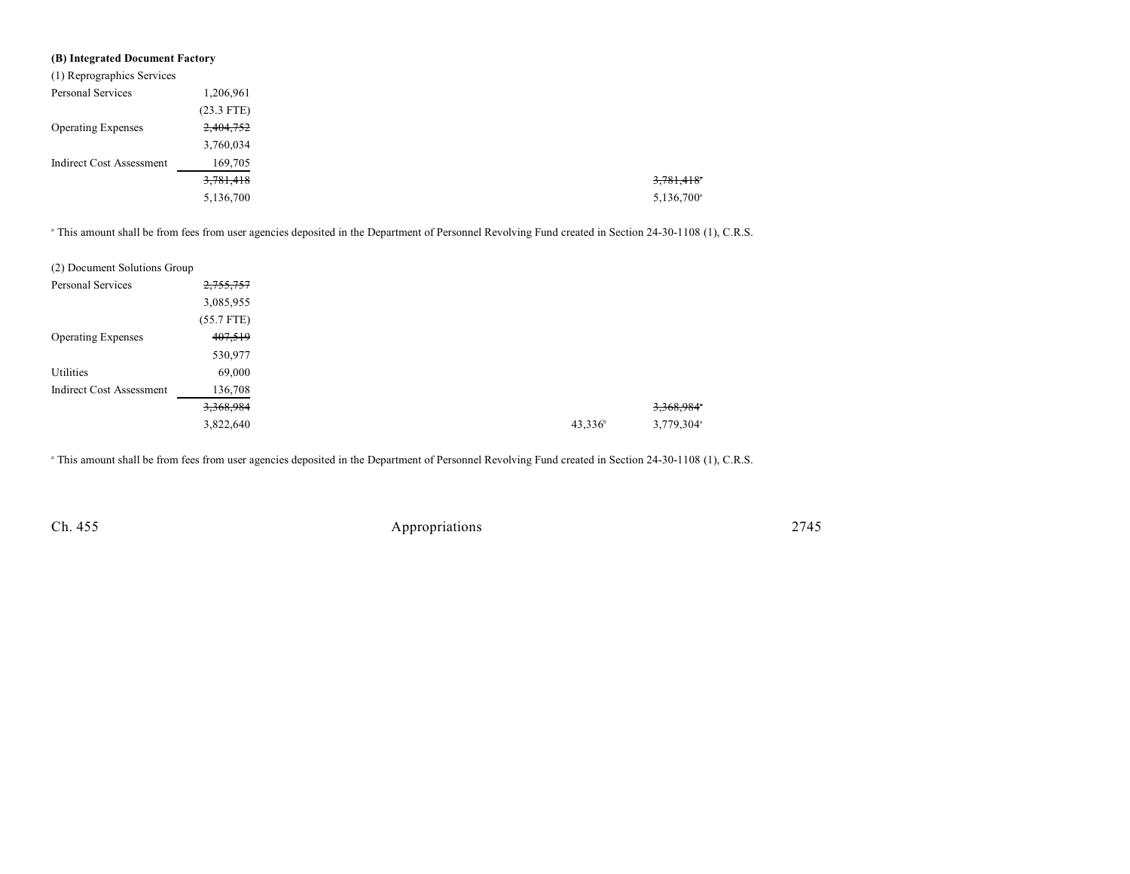| (B) Integrated Document Factory |              |
|---------------------------------|--------------|
| (1) Reprographics Services      |              |
| Personal Services               | 1,206,961    |
|                                 | $(23.3$ FTE) |
| <b>Operating Expenses</b>       | 2,404,752    |
|                                 | 3,760,034    |
| <b>Indirect Cost Assessment</b> | 169,705      |
|                                 | 3,781,418    |
|                                 | 5,136,700    |

<sup>a</sup> This amount shall be from fees from user agencies deposited in the Department of Personnel Revolving Fund created in Section 24-30-1108 (1), C.R.S.

| (2) Document Solutions Group    |              |
|---------------------------------|--------------|
| Personal Services               | 2,755,757    |
|                                 | 3,085,955    |
|                                 | $(55.7$ FTE) |
| <b>Operating Expenses</b>       | 407,519      |
|                                 | 530,977      |
| Utilities                       | 69,000       |
| <b>Indirect Cost Assessment</b> | 136,708      |
|                                 | 3,368,984    |
|                                 | 3,822,640    |

<sup>a</sup> This amount shall be from fees from user agencies deposited in the Department of Personnel Revolving Fund created in Section 24-30-1108 (1), C.R.S.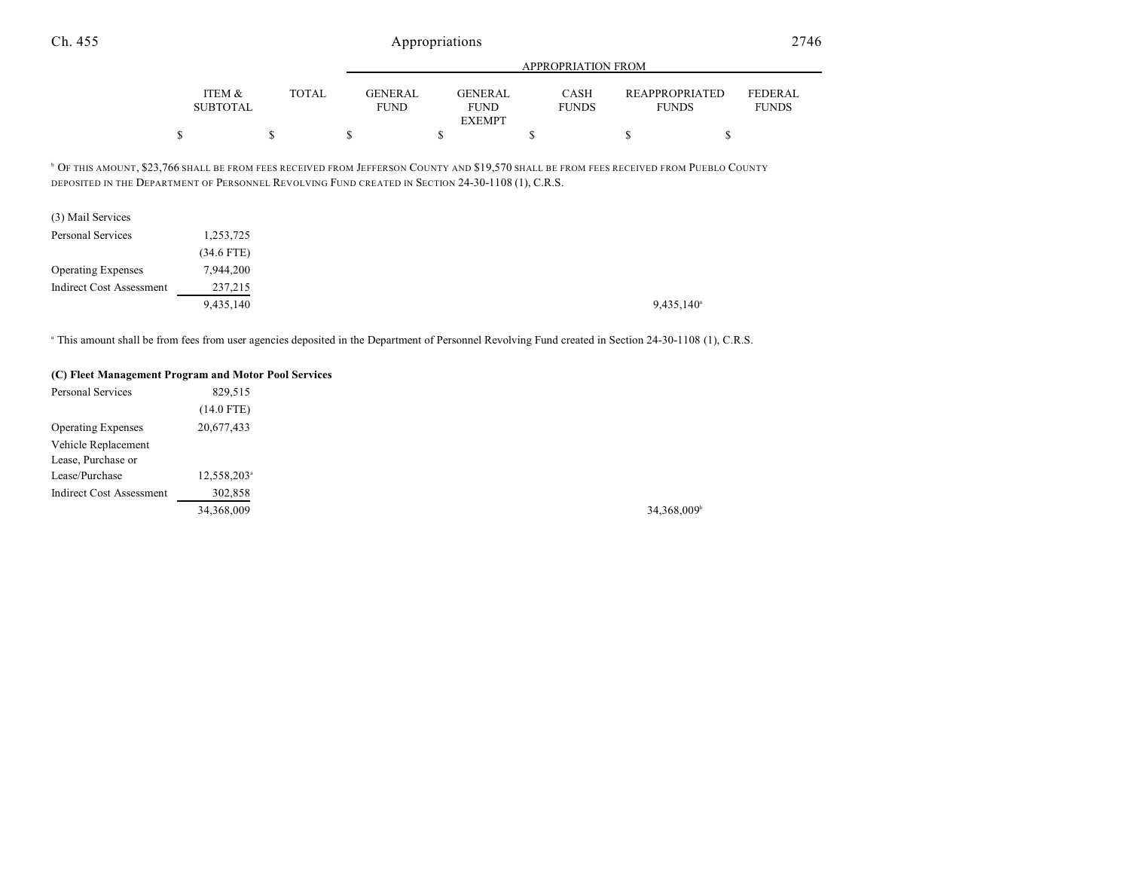|                           |              |                               |                        | APPROPRIATION FROM          |                                       |                                |
|---------------------------|--------------|-------------------------------|------------------------|-----------------------------|---------------------------------------|--------------------------------|
| ITEM &<br><b>SUBTOTAL</b> | <b>TOTAL</b> | <b>GENERAL</b><br><b>FUND</b> | GENERAL<br><b>FUND</b> | <b>CASH</b><br><b>FUNDS</b> | <b>REAPPROPRIATED</b><br><b>FUNDS</b> | <b>FEDERAL</b><br><b>FUNDS</b> |
|                           |              |                               | <b>EXEMPT</b>          |                             |                                       |                                |
|                           |              |                               |                        |                             |                                       |                                |

**DF THIS AMOUNT, \$23,766 SHALL BE FROM FEES RECEIVED FROM JEFFERSON COUNTY AND \$19,570 SHALL BE FROM FEES RECEIVED FROM PUEBLO COUNTY** DEPOSITED IN THE DEPARTMENT OF PERSONNEL REVOLVING FUND CREATED IN SECTION 24-30-1108 (1), C.R.S.

| (3) Mail Services         |              |
|---------------------------|--------------|
| Personal Services         | 1,253,725    |
|                           | $(34.6$ FTE) |
| <b>Operating Expenses</b> | 7,944,200    |
| Indirect Cost Assessment  | 237,215      |
|                           | 9.435,140    |

<sup>a</sup> This amount shall be from fees from user agencies deposited in the Department of Personnel Revolving Fund created in Section 24-30-1108 (1), C.R.S.

### **(C) Fleet Management Program and Motor Pool Services**

| Personal Services               | 829,515                 |
|---------------------------------|-------------------------|
|                                 | $(14.0$ FTE)            |
| <b>Operating Expenses</b>       | 20,677,433              |
| Vehicle Replacement             |                         |
| Lease, Purchase or              |                         |
| Lease/Purchase                  | 12,558,203 <sup>a</sup> |
| <b>Indirect Cost Assessment</b> | 302,858                 |
|                                 | 34,368,009              |

34,368,009<sup>b</sup>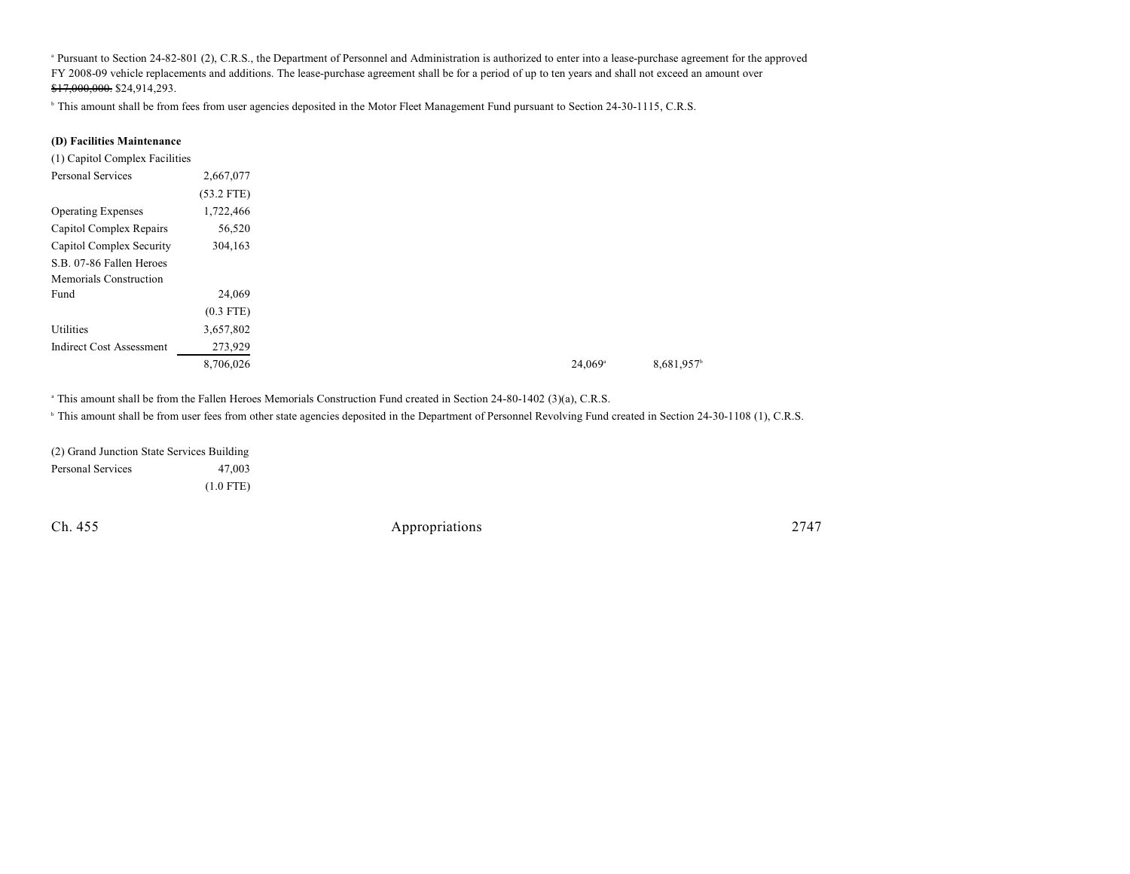<sup>a</sup> Pursuant to Section 24-82-801 (2), C.R.S., the Department of Personnel and Administration is authorized to enter into a lease-purchase agreement for the approved FY 2008-09 vehicle replacements and additions. The lease-purchase agreement shall be for a period of up to ten years and shall not exceed an amount over \$17,000,000. \$24,914,293.

<sup>b</sup> This amount shall be from fees from user agencies deposited in the Motor Fleet Management Fund pursuant to Section 24-30-1115, C.R.S.

#### **(D) Facilities Maintenance**

| (1) Capitol Complex Facilities  |              |
|---------------------------------|--------------|
| Personal Services               | 2,667,077    |
|                                 | $(53.2$ FTE) |
| <b>Operating Expenses</b>       | 1,722,466    |
| Capitol Complex Repairs         | 56,520       |
| Capitol Complex Security        | 304,163      |
| S.B. 07-86 Fallen Heroes        |              |
| <b>Memorials Construction</b>   |              |
| Fund                            | 24,069       |
|                                 | $(0.3$ FTE)  |
| Utilities                       | 3,657,802    |
| <b>Indirect Cost Assessment</b> | 273,929      |
|                                 | 8,706,026    |

<sup>a</sup> This amount shall be from the Fallen Heroes Memorials Construction Fund created in Section 24-80-1402 (3)(a), C.R.S.

<sup>b</sup> This amount shall be from user fees from other state agencies deposited in the Department of Personnel Revolving Fund created in Section 24-30-1108 (1), C.R.S.

| (2) Grand Junction State Services Building |             |
|--------------------------------------------|-------------|
| Personal Services                          | 47,003      |
|                                            | $(1.0$ FTE) |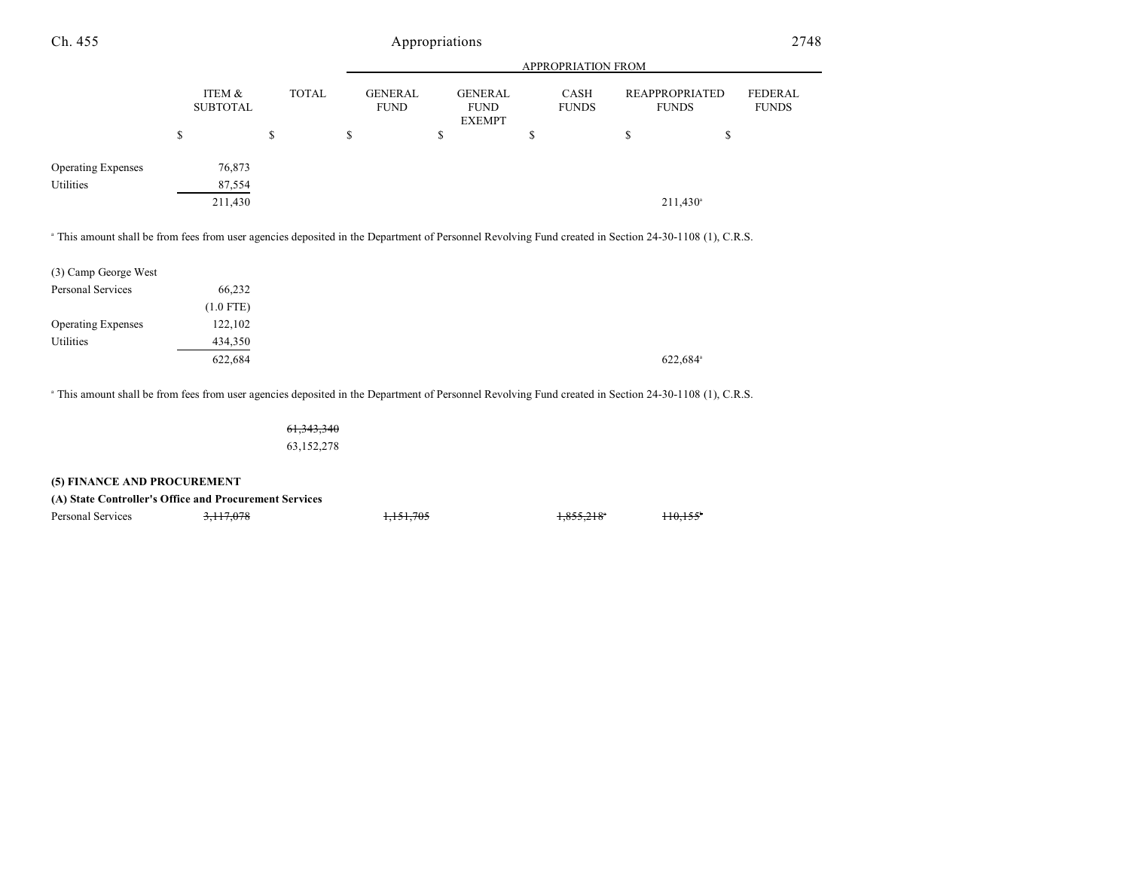| Ch. 455                                                                                                                                                          |                           |              | Appropriations                |                                                |                             |                                       | 2748                           |
|------------------------------------------------------------------------------------------------------------------------------------------------------------------|---------------------------|--------------|-------------------------------|------------------------------------------------|-----------------------------|---------------------------------------|--------------------------------|
|                                                                                                                                                                  |                           |              |                               |                                                | <b>APPROPRIATION FROM</b>   |                                       |                                |
|                                                                                                                                                                  | ITEM &<br><b>SUBTOTAL</b> | <b>TOTAL</b> | <b>GENERAL</b><br><b>FUND</b> | <b>GENERAL</b><br><b>FUND</b><br><b>EXEMPT</b> | <b>CASH</b><br><b>FUNDS</b> | <b>REAPPROPRIATED</b><br><b>FUNDS</b> | <b>FEDERAL</b><br><b>FUNDS</b> |
|                                                                                                                                                                  | \$                        | \$           | \$                            | \$                                             | \$                          | \$<br>\$                              |                                |
| <b>Operating Expenses</b>                                                                                                                                        | 76,873                    |              |                               |                                                |                             |                                       |                                |
| Utilities                                                                                                                                                        | 87,554                    |              |                               |                                                |                             |                                       |                                |
|                                                                                                                                                                  | 211,430                   |              |                               |                                                |                             | $211,430$ <sup>a</sup>                |                                |
|                                                                                                                                                                  |                           |              |                               |                                                |                             |                                       |                                |
| <sup>a</sup> This amount shall be from fees from user agencies deposited in the Department of Personnel Revolving Fund created in Section 24-30-1108 (1), C.R.S. |                           |              |                               |                                                |                             |                                       |                                |

| (3) Camp George West      |             |
|---------------------------|-------------|
| Personal Services         | 66,232      |
|                           | $(1.0$ FTE) |
| <b>Operating Expenses</b> | 122,102     |
| Utilities                 | 434,350     |
|                           | 622,684     |

<sup>a</sup> This amount shall be from fees from user agencies deposited in the Department of Personnel Revolving Fund created in Section 24-30-1108 (1), C.R.S.

61,343,340 63,152,278

**(5) FINANCE AND PROCUREMENT**

**(A) State Controller's Office and Procurement Services**

Personal Services 3,117,078 1,151,705 1,855,218 1,855,218 110,155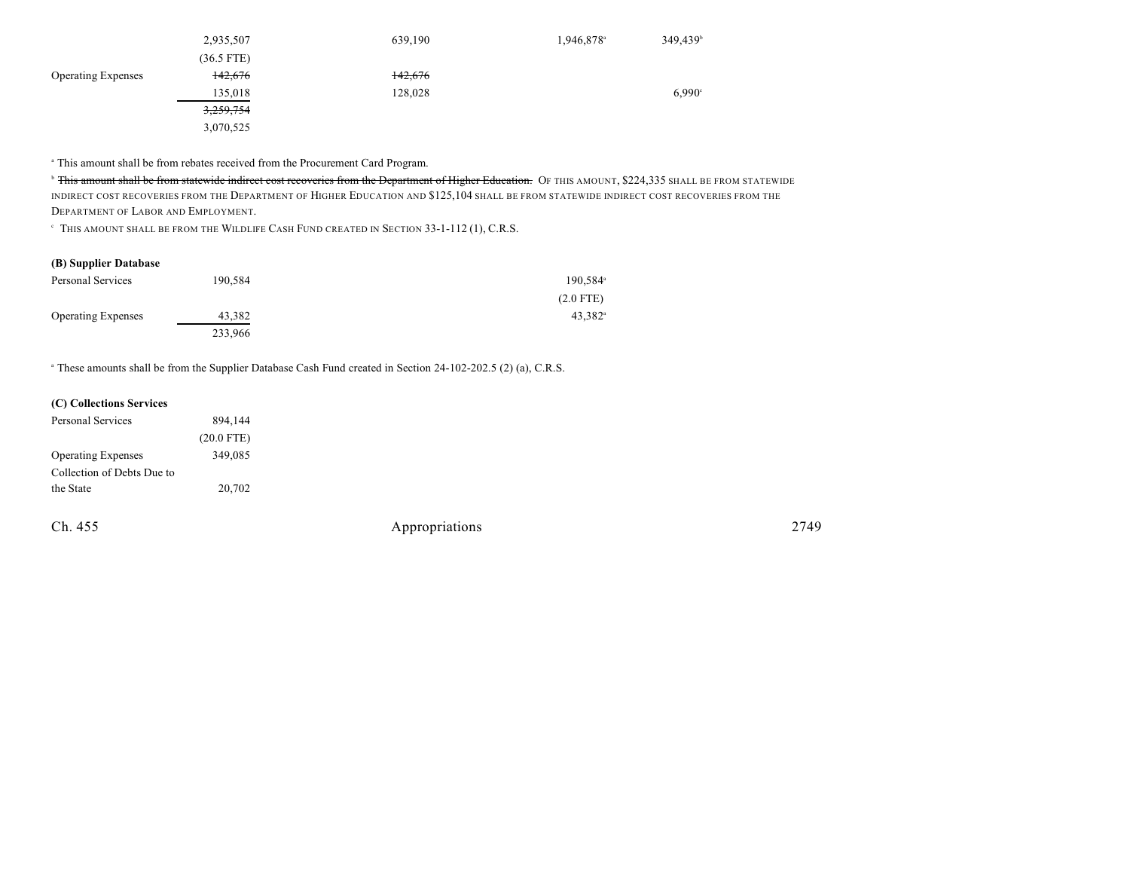|                           | 2,935,507    | 639,190 | 1,946,878 <sup>a</sup> | 349,439 <sup>b</sup> |
|---------------------------|--------------|---------|------------------------|----------------------|
|                           | $(36.5$ FTE) |         |                        |                      |
| <b>Operating Expenses</b> | 142,676      | 142,676 |                        |                      |
|                           | 135,018      | 128,028 |                        | 6,990°               |
|                           | 3,259,754    |         |                        |                      |
|                           | 3,070,525    |         |                        |                      |

<sup>a</sup> This amount shall be from rebates received from the Procurement Card Program.

<sup>b</sup> This amount shall be from statewide indirect cost recoveries from the Department of Higher Education. Of THIS AMOUNT, \$224,335 SHALL BE FROM STATEWIDE INDIRECT COST RECOVERIES FROM THE DEPARTMENT OF HIGHER EDUCATION AND \$125,104 SHALL BE FROM STATEWIDE INDIRECT COST RECOVERIES FROM THE DEPARTMENT OF LABOR AND EMPLOYMENT.

THIS AMOUNT SHALL BE FROM THE WILDLIFE CASH FUND CREATED IN SECTION 33-1-112 (1), C.R.S. <sup>c</sup>

#### **(B) Supplier Database**

| Personal Services         | 190.584 | 190,584 <sup>a</sup>  |
|---------------------------|---------|-----------------------|
|                           |         | $(2.0$ FTE)           |
| <b>Operating Expenses</b> | 43,382  | $43.382$ <sup>a</sup> |
|                           | 233.966 |                       |

<sup>a</sup> These amounts shall be from the Supplier Database Cash Fund created in Section 24-102-202.5 (2) (a), C.R.S.

#### **(C) Collections Services**

| <b>Personal Services</b>   | 894,144      |
|----------------------------|--------------|
|                            | $(20.0$ FTE) |
| <b>Operating Expenses</b>  | 349,085      |
| Collection of Debts Due to |              |
| the State                  | 20,702       |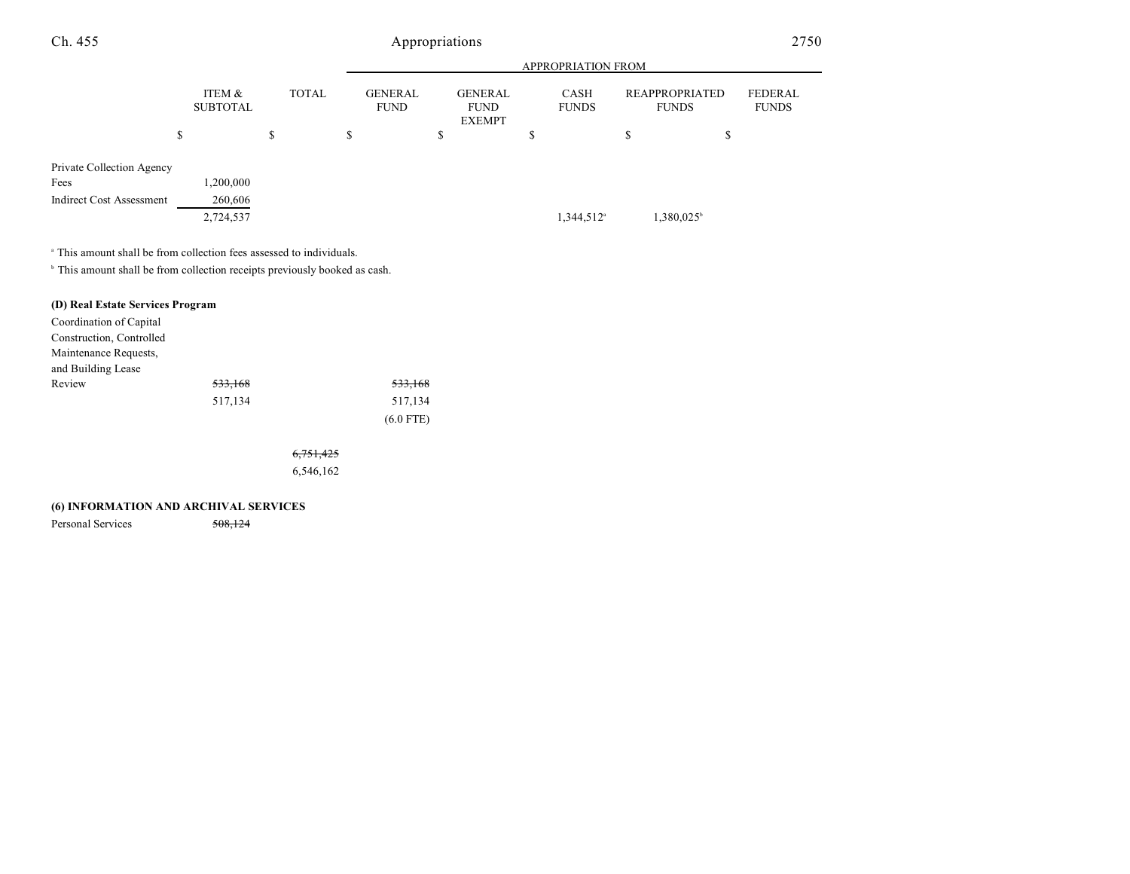|                           |              | <b>APPROPRIATION FROM</b>     |                                                |                             |                                |                         |  |
|---------------------------|--------------|-------------------------------|------------------------------------------------|-----------------------------|--------------------------------|-------------------------|--|
| ITEM &<br><b>SUBTOTAL</b> | <b>TOTAL</b> | <b>GENERAL</b><br><b>FUND</b> | <b>GENERAL</b><br><b>FUND</b><br><b>EXEMPT</b> | <b>CASH</b><br><b>FUNDS</b> | REAPPROPRIATED<br><b>FUNDS</b> | FEDERAL<br><b>FUNDS</b> |  |
|                           | \$           | \$                            | \$                                             | \$                          | \$                             | \$                      |  |
|                           |              |                               |                                                |                             |                                |                         |  |
| 1,200,000                 |              |                               |                                                |                             |                                |                         |  |
| 260,606                   |              |                               |                                                |                             |                                |                         |  |
| 2,724,537                 |              |                               |                                                | $1,344,512$ <sup>a</sup>    | 1,380,025 <sup>b</sup>         |                         |  |
| Private Collection Agency | \$           |                               |                                                |                             |                                |                         |  |

<sup>a</sup> This amount shall be from collection fees assessed to individuals.

 $\,^{\circ}$  This amount shall be from collection receipts previously booked as cash.

| (D) Real Estate Services Program |                    |                      |                    |
|----------------------------------|--------------------|----------------------|--------------------|
| Coordination of Capital          |                    |                      |                    |
| Construction, Controlled         |                    |                      |                    |
| Maintenance Requests,            |                    |                      |                    |
| and Building Lease               |                    |                      |                    |
| Review                           | <del>533,168</del> |                      | <del>533,168</del> |
|                                  | 517,134            |                      | 517,134            |
|                                  |                    |                      | $(6.0$ FTE)        |
|                                  |                    |                      |                    |
|                                  |                    | <del>6,751,425</del> |                    |
|                                  |                    | 6,546,162            |                    |
|                                  |                    |                      |                    |

### **(6) INFORMATION AND ARCHIVAL SERVICES**

Personal Services 508,124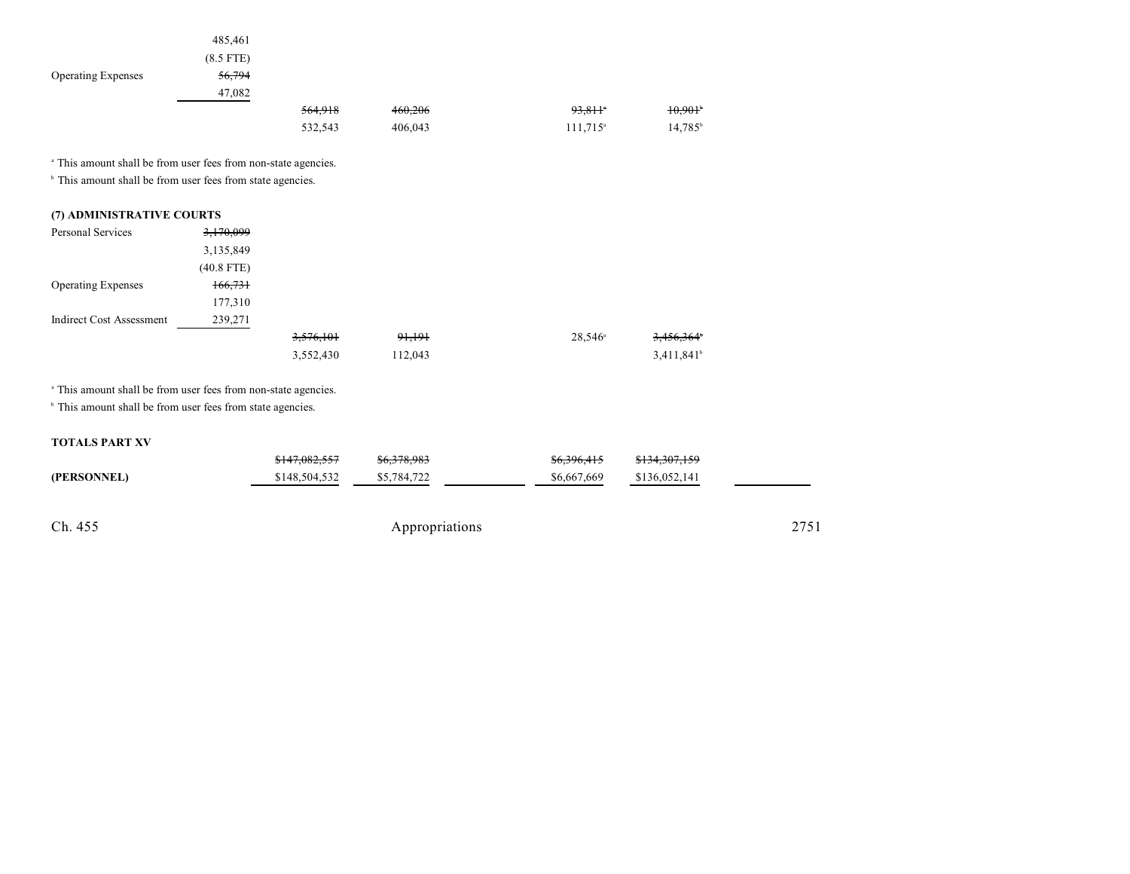|                           | 485,461<br>$(8.5$ FTE) |         |         |                        |                     |
|---------------------------|------------------------|---------|---------|------------------------|---------------------|
| <b>Operating Expenses</b> | 56,794                 |         |         |                        |                     |
|                           | 47,082                 |         |         |                        |                     |
|                           |                        | 564,918 | 460,206 | 93,811 <sup>*</sup>    | 10,901              |
|                           |                        | 532,543 | 406,043 | $111,715$ <sup>a</sup> | 14.785 <sup>t</sup> |

<sup>a</sup> This amount shall be from user fees from non-state agencies.

<sup>b</sup> This amount shall be from user fees from state agencies.

| (7) ADMINISTRATIVE COURTS |              |           |         |                                              |  |
|---------------------------|--------------|-----------|---------|----------------------------------------------|--|
| Personal Services         | 3,170,099    |           |         |                                              |  |
|                           | 3,135,849    |           |         |                                              |  |
|                           | $(40.8$ FTE) |           |         |                                              |  |
| <b>Operating Expenses</b> | 166,731      |           |         |                                              |  |
|                           | 177,310      |           |         |                                              |  |
| Indirect Cost Assessment  | 239,271      |           |         |                                              |  |
|                           |              | 3,576,101 | 91,191  | $3,456,364$ <sup>*</sup><br>$28,546^{\circ}$ |  |
|                           |              | 3,552,430 | 112,043 | $3,411,841$ <sup>b</sup>                     |  |

<sup>a</sup> This amount shall be from user fees from non-state agencies.

<sup>b</sup> This amount shall be from user fees from state agencies.

### **TOTALS PART XV**

|             | \$147,082,557 | \$6,378,983 | \$6,396,415 | \$134,307,159 |  |
|-------------|---------------|-------------|-------------|---------------|--|
| (PERSONNEL) | \$148,504,532 | \$5,784,722 | \$6,667,669 | \$136,052,141 |  |
|             |               |             |             |               |  |
|             |               |             |             |               |  |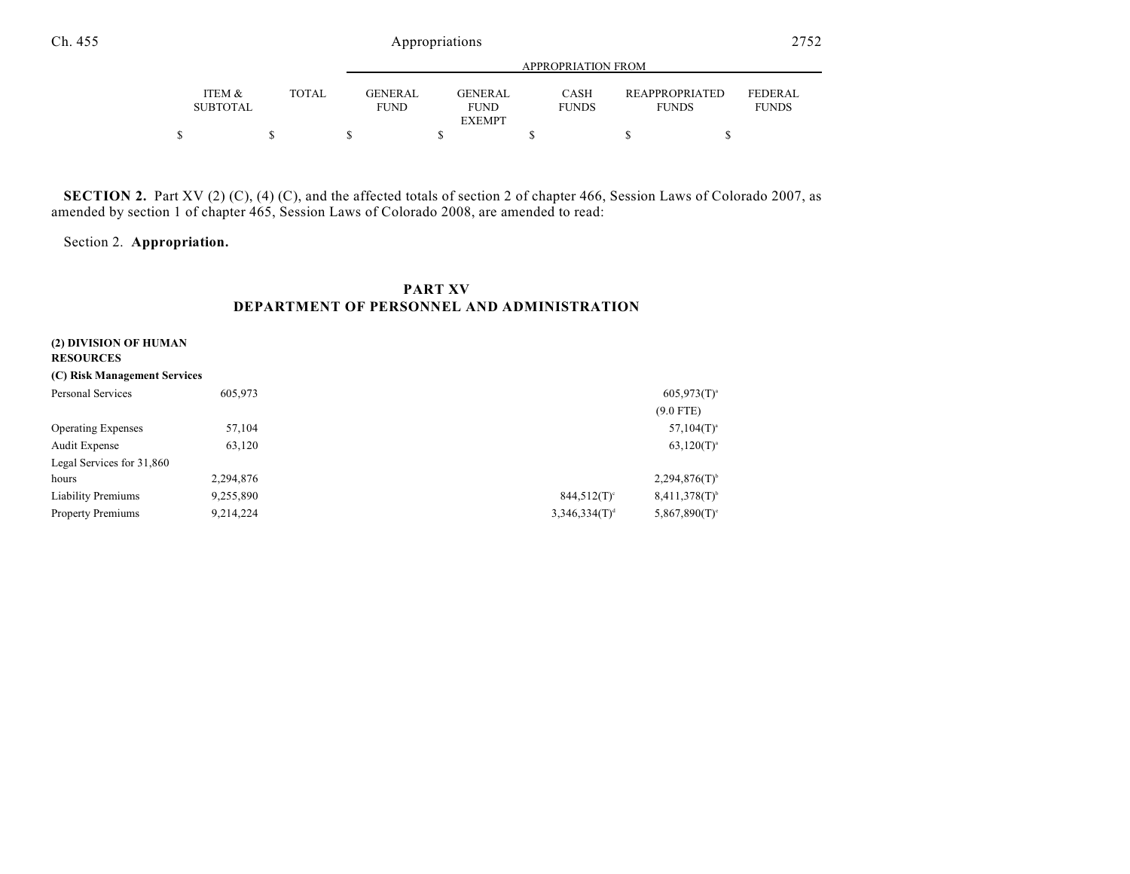|                           |              |                               |                        | APPROPRIATION FROM   |                                       |                         |
|---------------------------|--------------|-------------------------------|------------------------|----------------------|---------------------------------------|-------------------------|
| ITEM &<br><b>SUBTOTAL</b> | <b>TOTAL</b> | <b>GENERAL</b><br><b>FUND</b> | GENERAL<br><b>FUND</b> | CASH<br><b>FUNDS</b> | <b>REAPPROPRIATED</b><br><b>FUNDS</b> | FEDERAL<br><b>FUNDS</b> |
|                           |              |                               | <b>EXEMPT</b>          |                      |                                       |                         |
|                           |              |                               |                        |                      |                                       |                         |

**SECTION 2.** Part XV (2) (C), (4) (C), and the affected totals of section 2 of chapter 466, Session Laws of Colorado 2007, as amended by section 1 of chapter 465, Session Laws of Colorado 2008, are amended to read:

### Section 2. **Appropriation.**

### **PART XV DEPARTMENT OF PERSONNEL AND ADMINISTRATION**

| (2) DIVISION OF HUMAN<br><b>RESOURCES</b> |           |                           |                    |
|-------------------------------------------|-----------|---------------------------|--------------------|
| (C) Risk Management Services              |           |                           |                    |
| Personal Services                         | 605,973   |                           | $605,973(T)^{3}$   |
|                                           |           |                           | $(9.0$ FTE)        |
| <b>Operating Expenses</b>                 | 57,104    |                           | $57,104(T)^3$      |
| Audit Expense                             | 63,120    |                           | $63,120(T)^{3}$    |
| Legal Services for 31,860                 |           |                           |                    |
| hours                                     | 2,294,876 |                           | $2,294,876(T)^6$   |
| <b>Liability Premiums</b>                 | 9,255,890 | $844.512(T)$ °            | $8,411,378(T)^{6}$ |
| <b>Property Premiums</b>                  | 9,214,224 | 3,346,334(T) <sup>d</sup> | 5,867,890(T)       |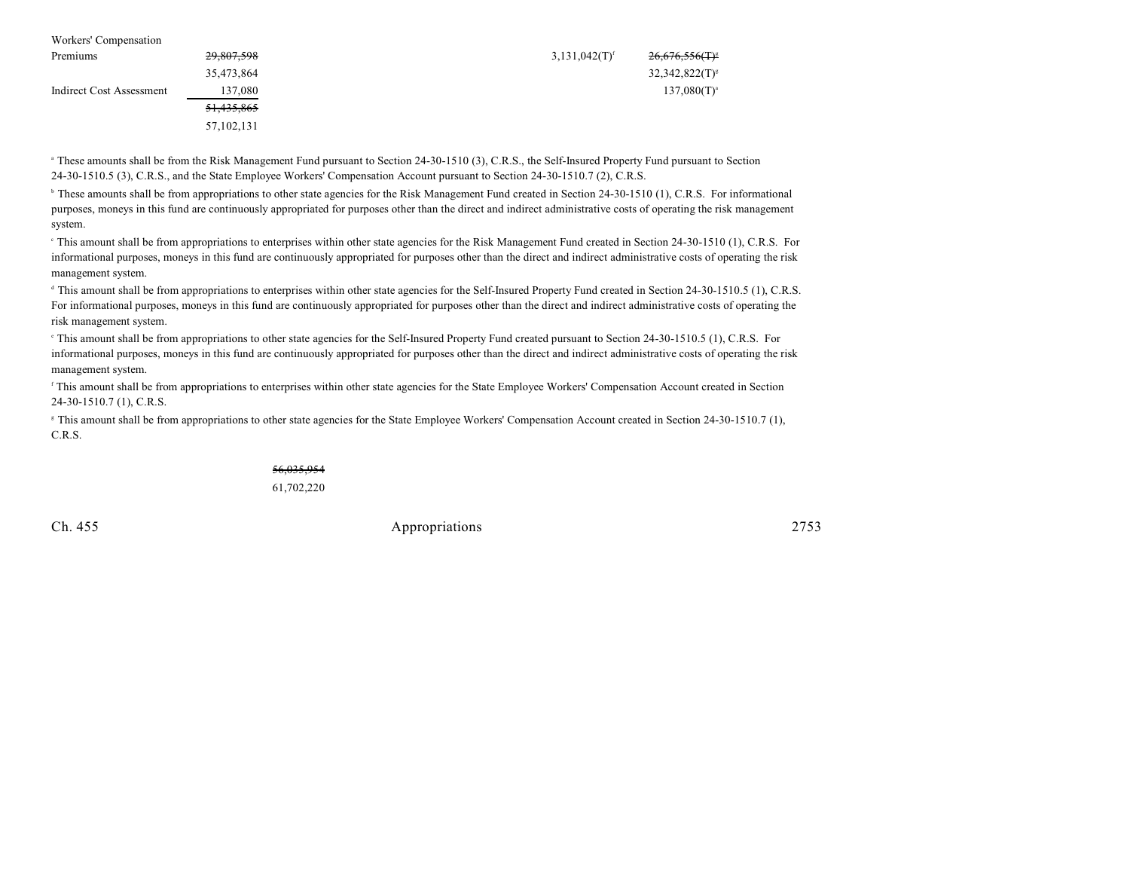| Workers' Compensation    |              |                  |                               |
|--------------------------|--------------|------------------|-------------------------------|
| Premiums                 | 29,807,598   | $3,131,042(T)^f$ | $26,676,556$ (T) <sup>8</sup> |
|                          | 35,473,864   |                  | $32,342,822(T)^s$             |
| Indirect Cost Assessment | 137,080      |                  | $137,080(T)^{a}$              |
|                          | 51.435.865   |                  |                               |
|                          | 57, 102, 131 |                  |                               |

<sup>a</sup> These amounts shall be from the Risk Management Fund pursuant to Section 24-30-1510 (3), C.R.S., the Self-Insured Property Fund pursuant to Section 24-30-1510.5 (3), C.R.S., and the State Employee Workers' Compensation Account pursuant to Section 24-30-1510.7 (2), C.R.S.

<sup>b</sup> These amounts shall be from appropriations to other state agencies for the Risk Management Fund created in Section 24-30-1510 (1), C.R.S. For informational purposes, moneys in this fund are continuously appropriated for purposes other than the direct and indirect administrative costs of operating the risk management system.

<sup>e</sup> This amount shall be from appropriations to enterprises within other state agencies for the Risk Management Fund created in Section 24-30-1510 (1), C.R.S. For informational purposes, moneys in this fund are continuously appropriated for purposes other than the direct and indirect administrative costs of operating the risk management system.

<sup>d</sup> This amount shall be from appropriations to enterprises within other state agencies for the Self-Insured Property Fund created in Section 24-30-1510.5 (1), C.R.S. For informational purposes, moneys in this fund are continuously appropriated for purposes other than the direct and indirect administrative costs of operating the risk management system.

<sup>e</sup> This amount shall be from appropriations to other state agencies for the Self-Insured Property Fund created pursuant to Section 24-30-1510.5 (1), C.R.S. For informational purposes, moneys in this fund are continuously appropriated for purposes other than the direct and indirect administrative costs of operating the risk management system.

<sup>f</sup> This amount shall be from appropriations to enterprises within other state agencies for the State Employee Workers' Compensation Account created in Section 24-30-1510.7 (1), C.R.S.

<sup>8</sup> This amount shall be from appropriations to other state agencies for the State Employee Workers' Compensation Account created in Section 24-30-1510.7 (1), C.R.S.

> 56,035,954 61,702,220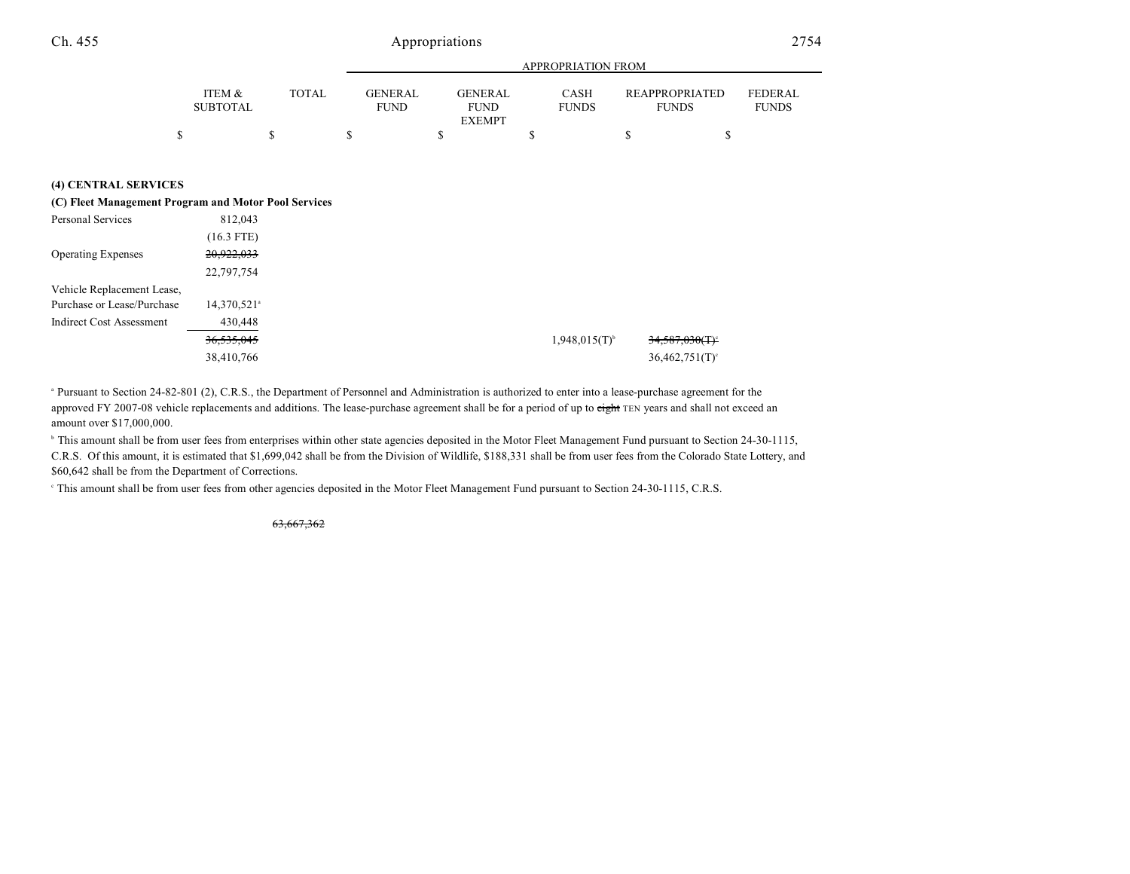|                           |              |                               | APPROPRIATION FROM     |                             |                                       |                                |  |  |
|---------------------------|--------------|-------------------------------|------------------------|-----------------------------|---------------------------------------|--------------------------------|--|--|
| ITEM &<br><b>SUBTOTAL</b> | <b>TOTAL</b> | <b>GENERAL</b><br><b>FUND</b> | GENERAL<br><b>FUND</b> | <b>CASH</b><br><b>FUNDS</b> | <b>REAPPROPRIATED</b><br><b>FUNDS</b> | <b>FEDERAL</b><br><b>FUNDS</b> |  |  |
|                           |              |                               | <b>EXEMPT</b>          |                             |                                       |                                |  |  |
|                           |              |                               |                        |                             |                                       |                                |  |  |

### **(4) CENTRAL SERVICES**

#### **(C) Fleet Management Program and Motor Pool Services**

| Personal Services               | 812,043                 |  |                             |                               |
|---------------------------------|-------------------------|--|-----------------------------|-------------------------------|
|                                 | $(16.3$ FTE)            |  |                             |                               |
| <b>Operating Expenses</b>       | 20,922,033              |  |                             |                               |
|                                 | 22,797,754              |  |                             |                               |
| Vehicle Replacement Lease,      |                         |  |                             |                               |
| Purchase or Lease/Purchase      | 14,370,521 <sup>a</sup> |  |                             |                               |
| <b>Indirect Cost Assessment</b> | 430,448                 |  |                             |                               |
|                                 | 36,535,045              |  | $1,948,015(T)$ <sup>b</sup> | $34,587,030$ (T) <sup>c</sup> |
|                                 | 38,410,766              |  |                             | $36,462,751(T)$ <sup>c</sup>  |

<sup>a</sup> Pursuant to Section 24-82-801 (2), C.R.S., the Department of Personnel and Administration is authorized to enter into a lease-purchase agreement for the approved FY 2007-08 vehicle replacements and additions. The lease-purchase agreement shall be for a period of up to eight TEN years and shall not exceed an amount over \$17,000,000.

<sup>h</sup> This amount shall be from user fees from enterprises within other state agencies deposited in the Motor Fleet Management Fund pursuant to Section 24-30-1115, C.R.S. Of this amount, it is estimated that \$1,699,042 shall be from the Division of Wildlife, \$188,331 shall be from user fees from the Colorado State Lottery, and \$60,642 shall be from the Department of Corrections.

<sup>e</sup> This amount shall be from user fees from other agencies deposited in the Motor Fleet Management Fund pursuant to Section 24-30-1115, C.R.S.

63,667,362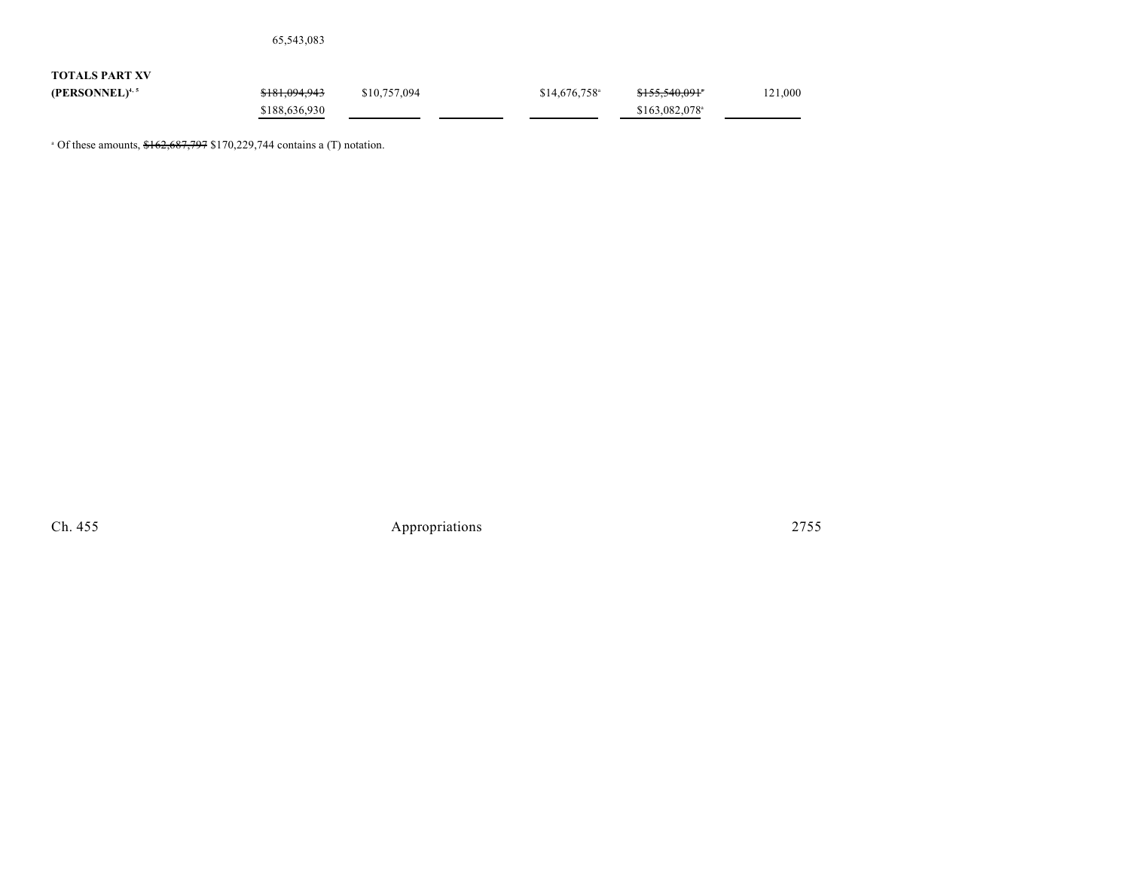|                       | 65,543,083               |              |                            |                             |         |
|-----------------------|--------------------------|--------------|----------------------------|-----------------------------|---------|
| <b>TOTALS PART XV</b> |                          |              |                            |                             |         |
| $(PERSONNEL)^{4,5}$   | <del>\$181,094,943</del> | \$10,757,094 | $$14,676,758$ <sup>*</sup> | \$155,540,091°              | 121,000 |
|                       | \$188,636,930            |              |                            | $$163,082,078$ <sup>a</sup> |         |

 $^{\circ}$  Of these amounts,  $$162,687,797$  \$170,229,744 contains a (T) notation.